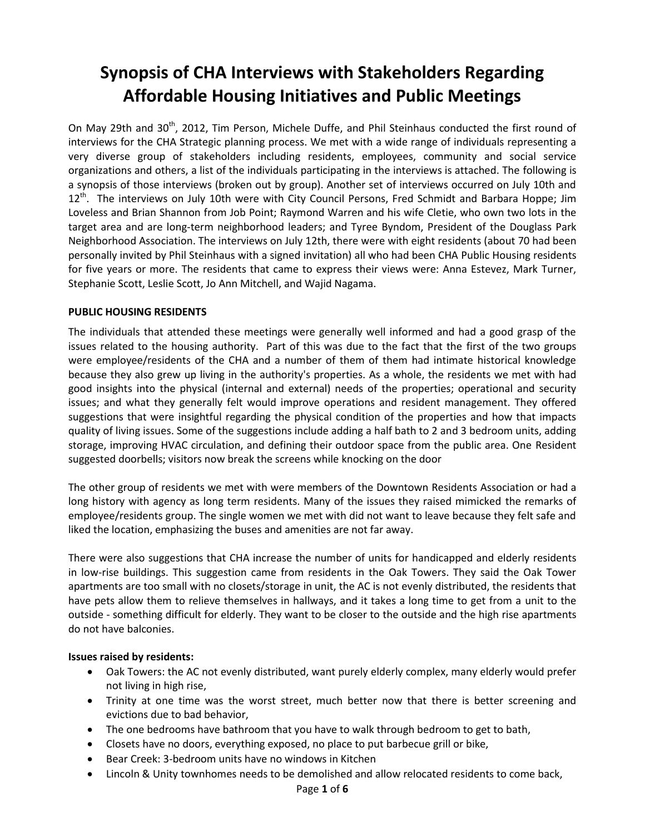# **Synopsis of CHA Interviews with Stakeholders Regarding Affordable Housing Initiatives and Public Meetings**

On Mav 29th and 30<sup>th</sup>, 2012, Tim Person, Michele Duffe, and Phil Steinhaus conducted the first round of interviews for the CHA Strategic planning process. We met with a wide range of individuals representing a very diverse group of stakeholders including residents, employees, community and social service organizations and others, a list of the individuals participating in the interviews is attached. The following is a synopsis of those interviews (broken out by group). Another set of interviews occurred on July 10th and 12<sup>th</sup>. The interviews on July 10th were with City Council Persons, Fred Schmidt and Barbara Hoppe; Jim Loveless and Brian Shannon from Job Point; Raymond Warren and his wife Cletie, who own two lots in the target area and are long-term neighborhood leaders; and Tyree Byndom, President of the Douglass Park Neighborhood Association. The interviews on July 12th, there were with eight residents (about 70 had been personally invited by Phil Steinhaus with a signed invitation) all who had been CHA Public Housing residents for five years or more. The residents that came to express their views were: Anna Estevez, Mark Turner, Stephanie Scott, Leslie Scott, Jo Ann Mitchell, and Wajid Nagama.

# **PUBLIC HOUSING RESIDENTS**

The individuals that attended these meetings were generally well informed and had a good grasp of the issues related to the housing authority. Part of this was due to the fact that the first of the two groups were employee/residents of the CHA and a number of them of them had intimate historical knowledge because they also grew up living in the authority's properties. As a whole, the residents we met with had good insights into the physical (internal and external) needs of the properties; operational and security issues; and what they generally felt would improve operations and resident management. They offered suggestions that were insightful regarding the physical condition of the properties and how that impacts quality of living issues. Some of the suggestions include adding a half bath to 2 and 3 bedroom units, adding storage, improving HVAC circulation, and defining their outdoor space from the public area. One Resident suggested doorbells; visitors now break the screens while knocking on the door

The other group of residents we met with were members of the Downtown Residents Association or had a long history with agency as long term residents. Many of the issues they raised mimicked the remarks of employee/residents group. The single women we met with did not want to leave because they felt safe and liked the location, emphasizing the buses and amenities are not far away.

There were also suggestions that CHA increase the number of units for handicapped and elderly residents in low-rise buildings. This suggestion came from residents in the Oak Towers. They said the Oak Tower apartments are too small with no closets/storage in unit, the AC is not evenly distributed, the residents that have pets allow them to relieve themselves in hallways, and it takes a long time to get from a unit to the outside - something difficult for elderly. They want to be closer to the outside and the high rise apartments do not have balconies.

#### **Issues raised by residents:**

- Oak Towers: the AC not evenly distributed, want purely elderly complex, many elderly would prefer not living in high rise,
- Trinity at one time was the worst street, much better now that there is better screening and evictions due to bad behavior,
- The one bedrooms have bathroom that you have to walk through bedroom to get to bath,
- Closets have no doors, everything exposed, no place to put barbecue grill or bike,
- Bear Creek: 3-bedroom units have no windows in Kitchen
- Lincoln & Unity townhomes needs to be demolished and allow relocated residents to come back,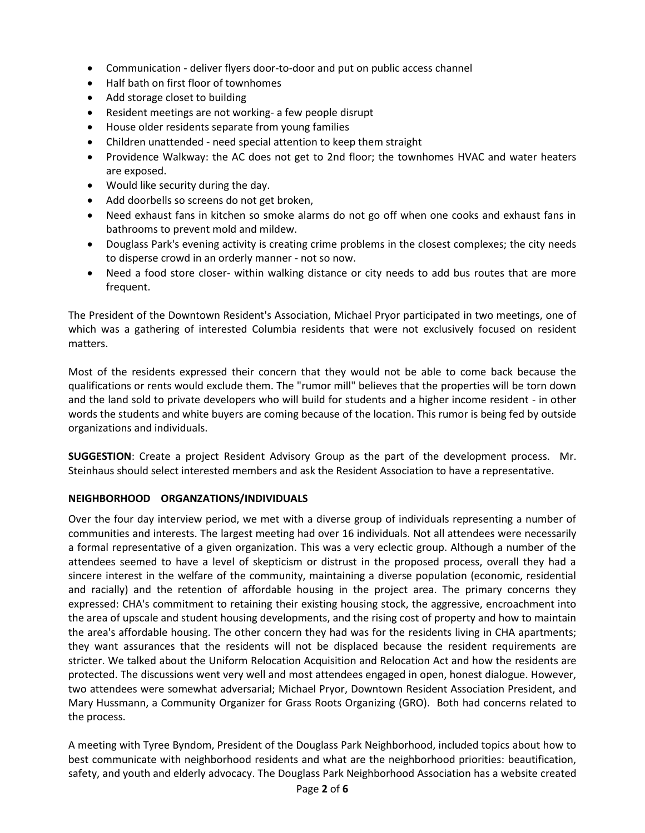- Communication deliver flyers door-to-door and put on public access channel
- Half bath on first floor of townhomes
- Add storage closet to building
- Resident meetings are not working- a few people disrupt
- House older residents separate from young families
- Children unattended need special attention to keep them straight
- Providence Walkway: the AC does not get to 2nd floor; the townhomes HVAC and water heaters are exposed.
- Would like security during the day.
- Add doorbells so screens do not get broken,
- Need exhaust fans in kitchen so smoke alarms do not go off when one cooks and exhaust fans in bathrooms to prevent mold and mildew.
- Douglass Park's evening activity is creating crime problems in the closest complexes; the city needs to disperse crowd in an orderly manner - not so now.
- Need a food store closer- within walking distance or city needs to add bus routes that are more frequent.

The President of the Downtown Resident's Association, Michael Pryor participated in two meetings, one of which was a gathering of interested Columbia residents that were not exclusively focused on resident matters.

Most of the residents expressed their concern that they would not be able to come back because the qualifications or rents would exclude them. The "rumor mill" believes that the properties will be torn down and the land sold to private developers who will build for students and a higher income resident - in other words the students and white buyers are coming because of the location. This rumor is being fed by outside organizations and individuals.

**SUGGESTION**: Create a project Resident Advisory Group as the part of the development process. Mr. Steinhaus should select interested members and ask the Resident Association to have a representative.

# **NEIGHBORHOOD ORGANZATIONS/INDIVIDUALS**

Over the four day interview period, we met with a diverse group of individuals representing a number of communities and interests. The largest meeting had over 16 individuals. Not all attendees were necessarily a formal representative of a given organization. This was a very eclectic group. Although a number of the attendees seemed to have a level of skepticism or distrust in the proposed process, overall they had a sincere interest in the welfare of the community, maintaining a diverse population (economic, residential and racially) and the retention of affordable housing in the project area. The primary concerns they expressed: CHA's commitment to retaining their existing housing stock, the aggressive, encroachment into the area of upscale and student housing developments, and the rising cost of property and how to maintain the area's affordable housing. The other concern they had was for the residents living in CHA apartments; they want assurances that the residents will not be displaced because the resident requirements are stricter. We talked about the Uniform Relocation Acquisition and Relocation Act and how the residents are protected. The discussions went very well and most attendees engaged in open, honest dialogue. However, two attendees were somewhat adversarial; Michael Pryor, Downtown Resident Association President, and Mary Hussmann, a Community Organizer for Grass Roots Organizing (GRO). Both had concerns related to the process.

A meeting with Tyree Byndom, President of the Douglass Park Neighborhood, included topics about how to best communicate with neighborhood residents and what are the neighborhood priorities: beautification, safety, and youth and elderly advocacy. The Douglass Park Neighborhood Association has a website created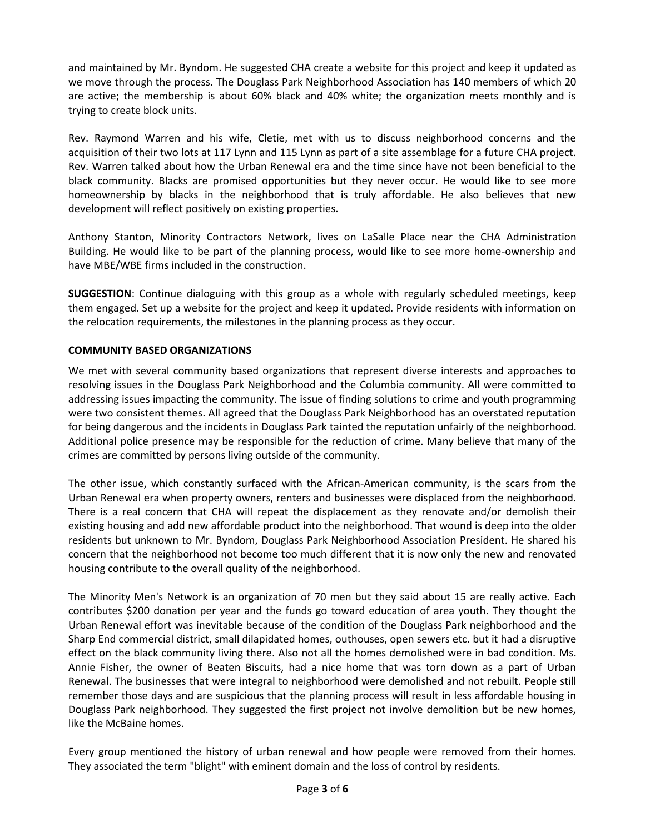and maintained by Mr. Byndom. He suggested CHA create a website for this project and keep it updated as we move through the process. The Douglass Park Neighborhood Association has 140 members of which 20 are active; the membership is about 60% black and 40% white; the organization meets monthly and is trying to create block units.

Rev. Raymond Warren and his wife, Cletie, met with us to discuss neighborhood concerns and the acquisition of their two lots at 117 Lynn and 115 Lynn as part of a site assemblage for a future CHA project. Rev. Warren talked about how the Urban Renewal era and the time since have not been beneficial to the black community. Blacks are promised opportunities but they never occur. He would like to see more homeownership by blacks in the neighborhood that is truly affordable. He also believes that new development will reflect positively on existing properties.

Anthony Stanton, Minority Contractors Network, lives on LaSalle Place near the CHA Administration Building. He would like to be part of the planning process, would like to see more home-ownership and have MBE/WBE firms included in the construction.

**SUGGESTION**: Continue dialoguing with this group as a whole with regularly scheduled meetings, keep them engaged. Set up a website for the project and keep it updated. Provide residents with information on the relocation requirements, the milestones in the planning process as they occur.

# **COMMUNITY BASED ORGANIZATIONS**

We met with several community based organizations that represent diverse interests and approaches to resolving issues in the Douglass Park Neighborhood and the Columbia community. All were committed to addressing issues impacting the community. The issue of finding solutions to crime and youth programming were two consistent themes. All agreed that the Douglass Park Neighborhood has an overstated reputation for being dangerous and the incidents in Douglass Park tainted the reputation unfairly of the neighborhood. Additional police presence may be responsible for the reduction of crime. Many believe that many of the crimes are committed by persons living outside of the community.

The other issue, which constantly surfaced with the African-American community, is the scars from the Urban Renewal era when property owners, renters and businesses were displaced from the neighborhood. There is a real concern that CHA will repeat the displacement as they renovate and/or demolish their existing housing and add new affordable product into the neighborhood. That wound is deep into the older residents but unknown to Mr. Byndom, Douglass Park Neighborhood Association President. He shared his concern that the neighborhood not become too much different that it is now only the new and renovated housing contribute to the overall quality of the neighborhood.

The Minority Men's Network is an organization of 70 men but they said about 15 are really active. Each contributes \$200 donation per year and the funds go toward education of area youth. They thought the Urban Renewal effort was inevitable because of the condition of the Douglass Park neighborhood and the Sharp End commercial district, small dilapidated homes, outhouses, open sewers etc. but it had a disruptive effect on the black community living there. Also not all the homes demolished were in bad condition. Ms. Annie Fisher, the owner of Beaten Biscuits, had a nice home that was torn down as a part of Urban Renewal. The businesses that were integral to neighborhood were demolished and not rebuilt. People still remember those days and are suspicious that the planning process will result in less affordable housing in Douglass Park neighborhood. They suggested the first project not involve demolition but be new homes, like the McBaine homes.

Every group mentioned the history of urban renewal and how people were removed from their homes. They associated the term "blight" with eminent domain and the loss of control by residents.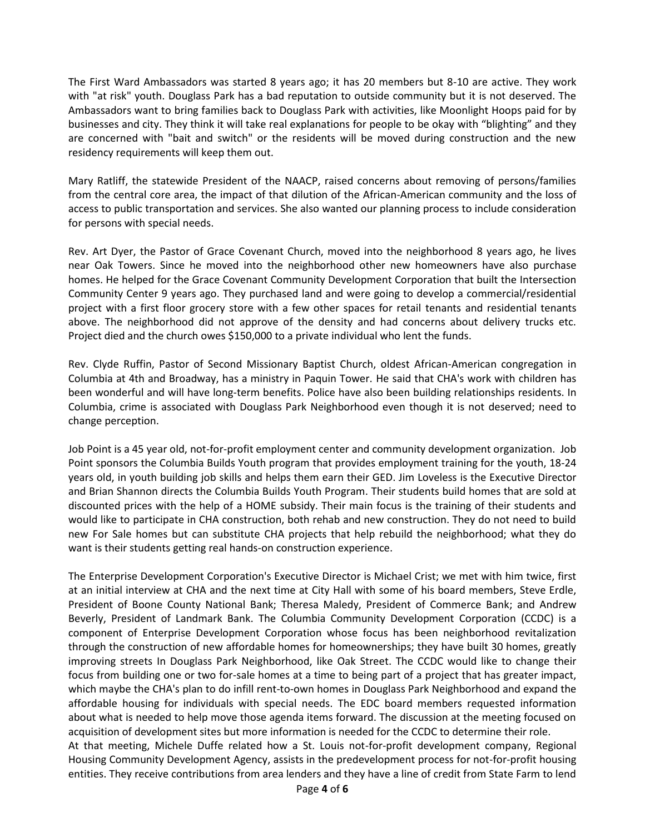The First Ward Ambassadors was started 8 years ago; it has 20 members but 8-10 are active. They work with "at risk" youth. Douglass Park has a bad reputation to outside community but it is not deserved. The Ambassadors want to bring families back to Douglass Park with activities, like Moonlight Hoops paid for by businesses and city. They think it will take real explanations for people to be okay with "blighting" and they are concerned with "bait and switch" or the residents will be moved during construction and the new residency requirements will keep them out.

Mary Ratliff, the statewide President of the NAACP, raised concerns about removing of persons/families from the central core area, the impact of that dilution of the African-American community and the loss of access to public transportation and services. She also wanted our planning process to include consideration for persons with special needs.

Rev. Art Dyer, the Pastor of Grace Covenant Church, moved into the neighborhood 8 years ago, he lives near Oak Towers. Since he moved into the neighborhood other new homeowners have also purchase homes. He helped for the Grace Covenant Community Development Corporation that built the Intersection Community Center 9 years ago. They purchased land and were going to develop a commercial/residential project with a first floor grocery store with a few other spaces for retail tenants and residential tenants above. The neighborhood did not approve of the density and had concerns about delivery trucks etc. Project died and the church owes \$150,000 to a private individual who lent the funds.

Rev. Clyde Ruffin, Pastor of Second Missionary Baptist Church, oldest African-American congregation in Columbia at 4th and Broadway, has a ministry in Paquin Tower. He said that CHA's work with children has been wonderful and will have long-term benefits. Police have also been building relationships residents. In Columbia, crime is associated with Douglass Park Neighborhood even though it is not deserved; need to change perception.

Job Point is a 45 year old, not-for-profit employment center and community development organization. Job Point sponsors the Columbia Builds Youth program that provides employment training for the youth, 18-24 years old, in youth building job skills and helps them earn their GED. Jim Loveless is the Executive Director and Brian Shannon directs the Columbia Builds Youth Program. Their students build homes that are sold at discounted prices with the help of a HOME subsidy. Their main focus is the training of their students and would like to participate in CHA construction, both rehab and new construction. They do not need to build new For Sale homes but can substitute CHA projects that help rebuild the neighborhood; what they do want is their students getting real hands-on construction experience.

The Enterprise Development Corporation's Executive Director is Michael Crist; we met with him twice, first at an initial interview at CHA and the next time at City Hall with some of his board members, Steve Erdle, President of Boone County National Bank; Theresa Maledy, President of Commerce Bank; and Andrew Beverly, President of Landmark Bank. The Columbia Community Development Corporation (CCDC) is a component of Enterprise Development Corporation whose focus has been neighborhood revitalization through the construction of new affordable homes for homeownerships; they have built 30 homes, greatly improving streets In Douglass Park Neighborhood, like Oak Street. The CCDC would like to change their focus from building one or two for-sale homes at a time to being part of a project that has greater impact, which maybe the CHA's plan to do infill rent-to-own homes in Douglass Park Neighborhood and expand the affordable housing for individuals with special needs. The EDC board members requested information about what is needed to help move those agenda items forward. The discussion at the meeting focused on acquisition of development sites but more information is needed for the CCDC to determine their role. At that meeting, Michele Duffe related how a St. Louis not-for-profit development company, Regional Housing Community Development Agency, assists in the predevelopment process for not-for-profit housing entities. They receive contributions from area lenders and they have a line of credit from State Farm to lend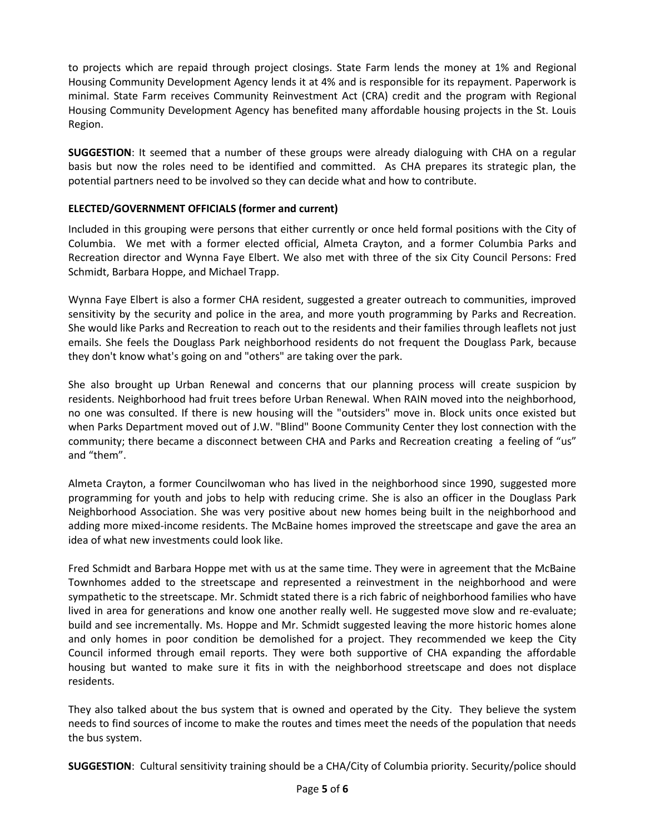to projects which are repaid through project closings. State Farm lends the money at 1% and Regional Housing Community Development Agency lends it at 4% and is responsible for its repayment. Paperwork is minimal. State Farm receives Community Reinvestment Act (CRA) credit and the program with Regional Housing Community Development Agency has benefited many affordable housing projects in the St. Louis Region.

**SUGGESTION**: It seemed that a number of these groups were already dialoguing with CHA on a regular basis but now the roles need to be identified and committed. As CHA prepares its strategic plan, the potential partners need to be involved so they can decide what and how to contribute.

#### **ELECTED/GOVERNMENT OFFICIALS (former and current)**

Included in this grouping were persons that either currently or once held formal positions with the City of Columbia. We met with a former elected official, Almeta Crayton, and a former Columbia Parks and Recreation director and Wynna Faye Elbert. We also met with three of the six City Council Persons: Fred Schmidt, Barbara Hoppe, and Michael Trapp.

Wynna Faye Elbert is also a former CHA resident, suggested a greater outreach to communities, improved sensitivity by the security and police in the area, and more youth programming by Parks and Recreation. She would like Parks and Recreation to reach out to the residents and their families through leaflets not just emails. She feels the Douglass Park neighborhood residents do not frequent the Douglass Park, because they don't know what's going on and "others" are taking over the park.

She also brought up Urban Renewal and concerns that our planning process will create suspicion by residents. Neighborhood had fruit trees before Urban Renewal. When RAIN moved into the neighborhood, no one was consulted. If there is new housing will the "outsiders" move in. Block units once existed but when Parks Department moved out of J.W. "Blind" Boone Community Center they lost connection with the community; there became a disconnect between CHA and Parks and Recreation creating a feeling of "us" and "them".

Almeta Crayton, a former Councilwoman who has lived in the neighborhood since 1990, suggested more programming for youth and jobs to help with reducing crime. She is also an officer in the Douglass Park Neighborhood Association. She was very positive about new homes being built in the neighborhood and adding more mixed-income residents. The McBaine homes improved the streetscape and gave the area an idea of what new investments could look like.

Fred Schmidt and Barbara Hoppe met with us at the same time. They were in agreement that the McBaine Townhomes added to the streetscape and represented a reinvestment in the neighborhood and were sympathetic to the streetscape. Mr. Schmidt stated there is a rich fabric of neighborhood families who have lived in area for generations and know one another really well. He suggested move slow and re-evaluate; build and see incrementally. Ms. Hoppe and Mr. Schmidt suggested leaving the more historic homes alone and only homes in poor condition be demolished for a project. They recommended we keep the City Council informed through email reports. They were both supportive of CHA expanding the affordable housing but wanted to make sure it fits in with the neighborhood streetscape and does not displace residents.

They also talked about the bus system that is owned and operated by the City. They believe the system needs to find sources of income to make the routes and times meet the needs of the population that needs the bus system.

**SUGGESTION**: Cultural sensitivity training should be a CHA/City of Columbia priority. Security/police should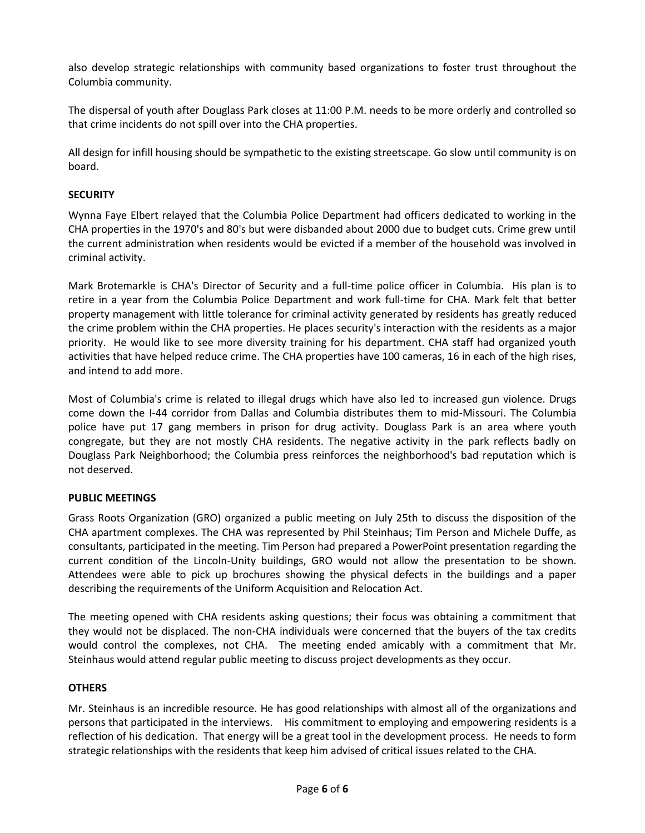also develop strategic relationships with community based organizations to foster trust throughout the Columbia community.

The dispersal of youth after Douglass Park closes at 11:00 P.M. needs to be more orderly and controlled so that crime incidents do not spill over into the CHA properties.

All design for infill housing should be sympathetic to the existing streetscape. Go slow until community is on board.

#### **SECURITY**

Wynna Faye Elbert relayed that the Columbia Police Department had officers dedicated to working in the CHA properties in the 1970's and 80's but were disbanded about 2000 due to budget cuts. Crime grew until the current administration when residents would be evicted if a member of the household was involved in criminal activity.

Mark Brotemarkle is CHA's Director of Security and a full-time police officer in Columbia. His plan is to retire in a year from the Columbia Police Department and work full-time for CHA. Mark felt that better property management with little tolerance for criminal activity generated by residents has greatly reduced the crime problem within the CHA properties. He places security's interaction with the residents as a major priority. He would like to see more diversity training for his department. CHA staff had organized youth activities that have helped reduce crime. The CHA properties have 100 cameras, 16 in each of the high rises, and intend to add more.

Most of Columbia's crime is related to illegal drugs which have also led to increased gun violence. Drugs come down the I-44 corridor from Dallas and Columbia distributes them to mid-Missouri. The Columbia police have put 17 gang members in prison for drug activity. Douglass Park is an area where youth congregate, but they are not mostly CHA residents. The negative activity in the park reflects badly on Douglass Park Neighborhood; the Columbia press reinforces the neighborhood's bad reputation which is not deserved.

#### **PUBLIC MEETINGS**

Grass Roots Organization (GRO) organized a public meeting on July 25th to discuss the disposition of the CHA apartment complexes. The CHA was represented by Phil Steinhaus; Tim Person and Michele Duffe, as consultants, participated in the meeting. Tim Person had prepared a PowerPoint presentation regarding the current condition of the Lincoln-Unity buildings, GRO would not allow the presentation to be shown. Attendees were able to pick up brochures showing the physical defects in the buildings and a paper describing the requirements of the Uniform Acquisition and Relocation Act.

The meeting opened with CHA residents asking questions; their focus was obtaining a commitment that they would not be displaced. The non-CHA individuals were concerned that the buyers of the tax credits would control the complexes, not CHA. The meeting ended amicably with a commitment that Mr. Steinhaus would attend regular public meeting to discuss project developments as they occur.

#### **OTHERS**

Mr. Steinhaus is an incredible resource. He has good relationships with almost all of the organizations and persons that participated in the interviews. His commitment to employing and empowering residents is a reflection of his dedication. That energy will be a great tool in the development process. He needs to form strategic relationships with the residents that keep him advised of critical issues related to the CHA.